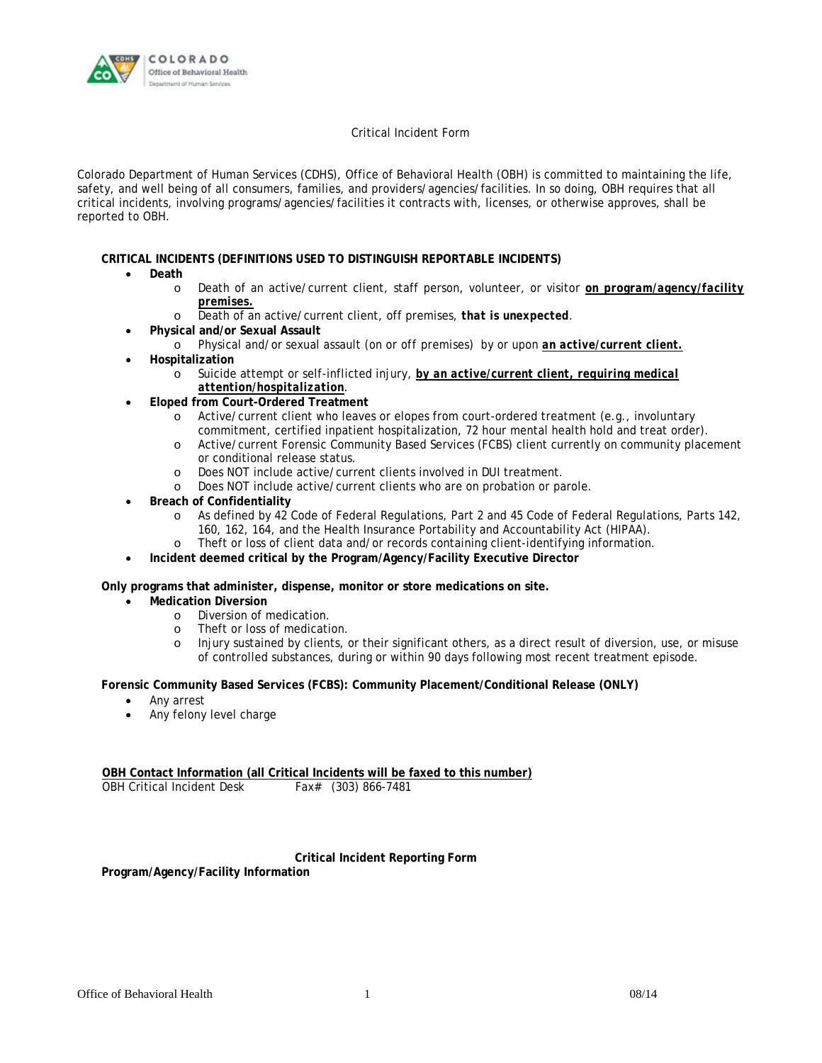

## Critical Incident Form

Colorado Department of Human Services (CDHS), Office of Behavioral Health (OBH) is committed to maintaining the life, safety, and well being of all consumers, families, and providers/agencies/facilities. In so doing, OBH requires that all critical incidents, involving programs/agencies/facilities it contracts with, licenses, or otherwise approves, shall be reported to OBH.

## **CRITICAL INCIDENTS (DEFINITIONS USED TO DISTINGUISH REPORTABLE INCIDENTS)**

- **Death**
	- o Death of an active/current client, staff person, volunteer, or visitor *on program/agency/facility premises.*
	- o Death of an active/current client, off premises, *that is unexpected*.
- **Physical and/or Sexual Assault**
	- o Physical and/or sexual assault (*on or off premises)* by or upon *an active/current client.* **Hospitalization**
		- o Suicide attempt or self-inflicted injury, *by an active/current client, requiring medical attention/hospitalization*.
- **Eloped from Court-Ordered Treatment**
	- o Active/current client who leaves or elopes from court-ordered treatment (e.g., involuntary commitment, certified inpatient hospitalization, 72 hour mental health hold and treat order).
	- o Active/current Forensic Community Based Services (FCBS) client currently on community placement or conditional release status.
	- o Does NOT include active/current clients involved in DUI treatment.
	- o Does NOT include active/current clients who are on probation or parole.
- **Breach of Confidentiality**
	- o As defined by 42 Code of Federal Regulations, Part 2 and 45 Code of Federal Regulations, Parts 142, 160, 162, 164, and the Health Insurance Portability and Accountability Act (HIPAA).
	- o Theft or loss of client data and/or records containing client-identifying information.
- **Incident deemed critical by the Program/Agency/Facility Executive Director**

**Only programs that administer, dispense, monitor or store medications on site.** 

- **Medication Diversion**
	- o Diversion of medication.
	- o Theft or loss of medication.
	- o Injury sustained by clients, or their significant others, as a direct result of diversion, use, or misuse of controlled substances, during or within 90 days following most recent treatment episode.

## **Forensic Community Based Services (FCBS): Community Placement/Conditional Release (ONLY)**

- Any arrest
- Any felony level charge

**OBH Contact Information (all Critical Incidents will be faxed to this number)**  OBH Critical Incident Desk Fax# (303) 866-7481

## **Critical Incident Reporting Form**

**Program/Agency/Facility Information**